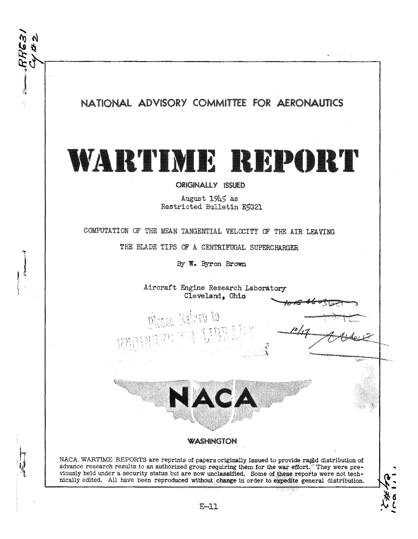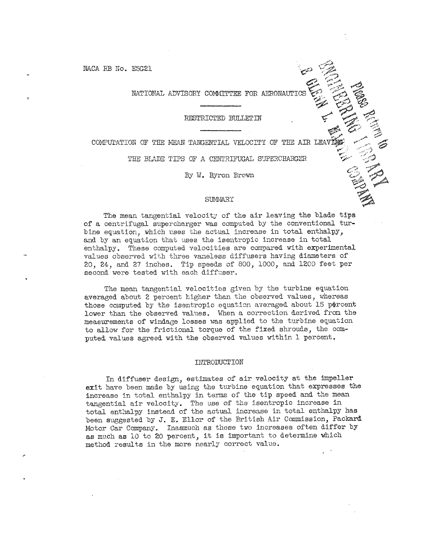NACA RB No. E5G21

# NATIONAL ADVISORY COMMITTEE FOR AERONAUTIO

#### RESTRICTED BULLETIN

COMPUTATION OF THE MEAN TANGENTIAL VELOCITY OF THE AIR LEAT

THE BLADE TIPS OF A CENTRIFUGAL SUPERCHARGER

By W. Byron Brown

## **SUMMARY**

The mean tangential velocity of the air leaving the blade tips of a centrifugal supercharger was computed by the conventional turbine equation, which uses the actual increase in total enthalpy, and by an equation that uses the isentropic increase in total enthalpy. These computed velocities are compared with experimental values observed with three vaneless diffusers having diameters of 20, 24, and 27 inches. Tip speeds of 800, 1000, and 1200 feet per second were tested with each diffuser.

The mean tangential velocities given by the turbine equation averaged about 2 percent higher than the observed values, whereas those computed by the isentropic equation averaged about 15 percent lower than the observed values. When a correction derived from the measurements of windage losses was applied to the turbine equation to allow for the frictional torque of the fixed shrouds, the computed values agreed with the observed values within 1 percent.

#### INTRODUCTION

In diffuser design, estimates of air velocity at the impeller exit have been made by using the turbine equation that expresses the increase in total enthalpy in terms of the tip speed and the mean tangential air velocity. The use of the isentropic increase in total enthalpy instead of the actual increase in total enthalpy has been suggested by J. E. Ellor of the British Air Commission, Packard Motor Car Company. Inasmuch as these two increases often differ by as much as 10 to 20 percent, it is important to determine which method results in the more nearly correct value.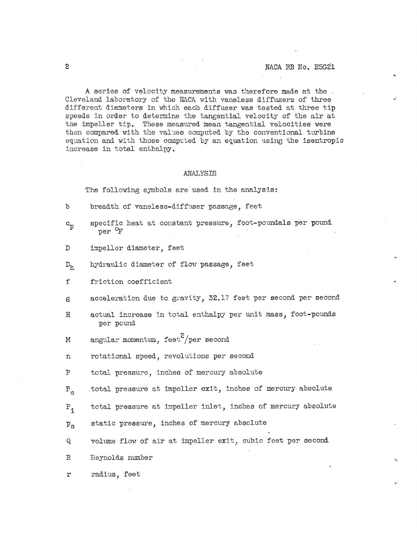A series of velocity measurements was therefore made at the. Cleveland laboratory of the NACA with vaneless diffusers of three different diameters in which each diffuser was tested at three tip speeds in order to determine the tangential velocity of the air at the impeller tip. These measured mean tangential velocities were then compared with the values computed by the conventional turbine equation and with those computed by an equation using the isentropic increase in total enthalpy.

### **ANALYSIS**

The following symbols are used in the analysis:

- $\mathfrak{b}$ breadth of vanelesa-dlffuser passage, feet
- specific heat at constant pressure, foot-poundals per pound  $c_p$ per *OF*
- $\mathbb{D}$ impeller diameter, feet
- hydraulic diameter of flow passage, feet  $D_{h}$
- $f$ friction coefficient
- acceleration due to gravity, 32.17 feet per second per second  $\epsilon$
- $H$ actual increase in total enthalpy per unit mass, foot-pounds per pound
- angular momentum, feet $^2$ /per second M
- rotational speed, revolutions per second  $\mathbf n$
- $\mathbf{P}$ total pressure, inches of nercwy absolute
- $P_{\rho}$ total pressure at impeller exit, inches of mercury absolute
- $P_{1}$ total pressure at impeller inlet, inches of mercury absolute
- static pressure, inches of mercury absolute  $P_{\rm g}$
- Q. volume flow of air at impeller exit, cubic feet per second
- $\mathbb{R}$ Seynolds number

radius, feet  $\mathbf{r}$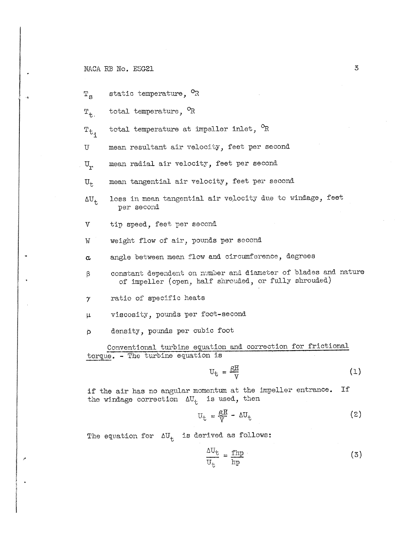# NACA RB No. E5G21

 $\mathbf{a}$ 

 $T_S$  static temperature,  $^{\circ}R$ 

 $T_{t,s}$  total temperature,  $^{\circ}R$ 

 $T_t$ , total temperature at impeller inlet,  $^{\circ}R$ 

U mean resultant air velocity, feet per second

 $\mathtt{U}_\mathtt{r}$ mean radial air velocity, feet per second

 $U_t$  mean tangential air velocity, feet per second

- $\Delta U_t$  loss in mean tangential air velocity due to windage, feet per second
- V tip speed, feet per second

W weight flow of air, pounds per second

 $\alpha$  angle between mean flow and circumference, degrees

- β constant dependent on number and diameter of blades and nature of impeller (open, half shrouded, or fully shrouded)
- $\gamma$  ratio of specific heats

**P** viscosity, polmds per foot-second

p density, pounds per cubic foot

Conventional turbine equation and correction for frictional torque. - The turbine equation is

$$
U_{t} = \frac{gH}{V}
$$
 (1)

if the air has no angular momentum at the impeller entrance. If the windage correction  $\Delta U_{+}$  is used, then

$$
U_{t} = \frac{gH}{V} - \Delta U_{t}
$$
 (2)

The equation for  $\Delta U_+$  is derived as follows:

$$
\frac{\Delta U_{\rm t}}{U_{\rm t}} = \frac{\rm fhp}{\rm hp} \tag{3}
$$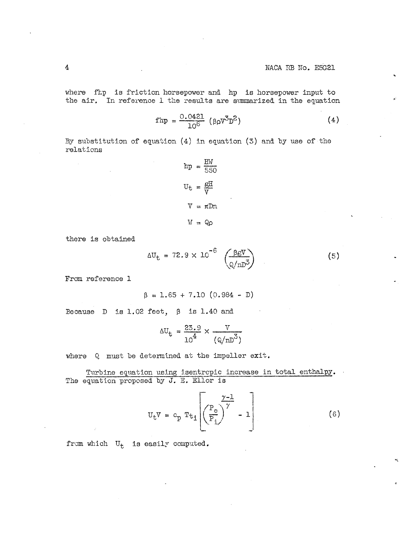where fhp is friction horsepower and hp is horsepower input to the air. In reference 1 the results are summarized in the equation

$$
fhp = \frac{0.0421}{10^6} (\beta \rho V^3 D^2)
$$
 (4)

By substitution of equation  $(4)$  in equation  $(3)$  and by use of the relations

$$
hp = \frac{HW}{550}
$$

$$
U_t = \frac{GH}{V}
$$

$$
V = \pi Dn
$$

$$
W = Qp
$$

there is obtained

$$
\Delta U_{\rm t} = 72.9 \times 10^{-6} \left( \frac{\beta \rm{gV}}{\rm{g}/nD^3} \right) \tag{5}
$$

From reference 1

$$
\beta = 1.65 + 7.10 (0.984 - D)
$$

Because  $D$  is 1.02 feet,  $\beta$  is 1.40 and

$$
\Delta U_{\rm t} = \frac{23.9}{10^4} \times \frac{V}{(Q/nD^3)}
$$

where Q must be determined at the impeller exit.

Turbine equation using isentropic increase in total enthalpy. The equation proposed by J. E. Ellor is

$$
U_{t}V = c_{p} T t_{1} \left[ \left( \frac{P_{e}}{P_{i}} \right)^{\gamma} - 1 \right]
$$
 (6)

from which  $U_t$  is easily computed.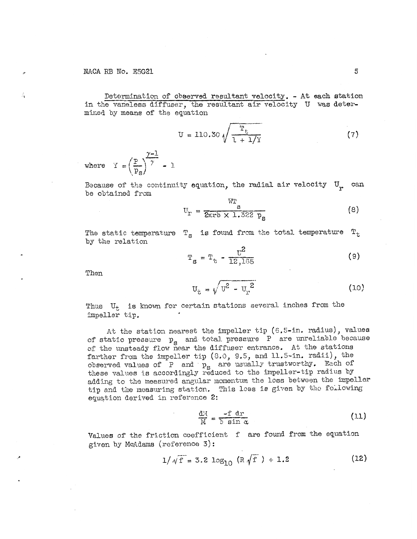Determination of observed resultant velocity. - At each station in the vaneless diffuser, the resultant air velocity U was determined by means of the equation

$$
U = 110.30 \sqrt{\frac{T_t}{1 + 1/y}}
$$
 (7)

where  $\mathbf{Y} = \left(\frac{P}{P_{\alpha}}\right)^{\frac{\gamma-1}{\gamma}} - 1$ 

Because of the continuity equation, the radial air velocity U can be obtained from

$$
U_T = \frac{WT_S}{2\pi r b \times 1.322 p_S}
$$
 (8)

The static temperature  $T_{\rm g}$  is found from the total temperature  $T_{\rm t}$ by the relation

$$
T_g = T_t - \frac{t^2}{12,165}
$$
 (9)

Then

$$
U_{t} = \sqrt{U^{2} - U_{r}^{2}}
$$
 (10)

Thus  $U_t$  is known for certain stations several inches from the impeller tip.

At the station nearest the impeller tip (6.5-in. radius), values of static pressure  $p_g$  and total pressure  $P$  are unreliable because of the unsteady flow near the diffuser entrance. At the stations farther from the impeller tip (8.0, 9.5, and 11.5-in. radii), the observed values of  $P$  and  $p_S$  are usually trustworthy. Each of these values is accordingly reduced to the impeller-tip radius by adding to the measured angular momentum the loss between the impeller tip and the measuring station. This loss is given by the following equation derived in reference 2:

$$
\frac{dM}{M} = \frac{-f dr}{b \sin \alpha} \tag{11}
$$

Values of the friction coefficient f are found from the equation given by McAdams (reference 3):

$$
1/\sqrt{f} = 3.2 \log_{10} (R\sqrt{f}) + 1.2
$$
 (12)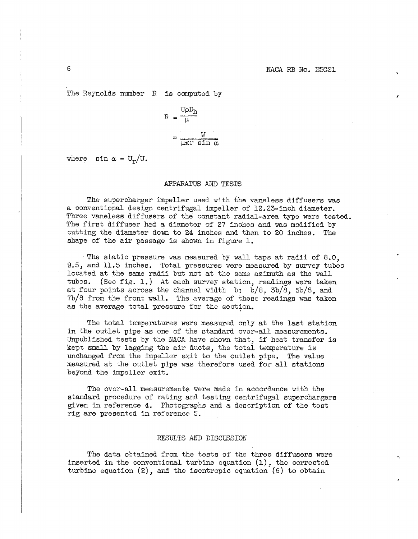The Reynolds number  $R$  is computed by

$$
R = \frac{U \rho D_h}{\mu}
$$

$$
= \frac{W}{\mu \pi x \sin \alpha}
$$

where  $\sin \alpha = \frac{U_r}{U_r}$ .

#### APPARATUS *Aii* **TESTS**

The supercharger impeller used with the vaneless diffusers was a conventional design centrifugal impeller of  $12.23$ -inch diameter. Three vaneless diffusers of the constant radial-area type were tested. The first diffuser hzd a diameter of 27 inches and was modified by cutting the diaeter down to 24 inches and then to 20 inches. The shaye of the air passage is shown in figure 1.

The static pressure was measured by wall taps at radii of 8.0. 9.5, and 11.5 inches. Total pressures were measured by survey tubes located at the same radii but not at the same azimuth as the wall tubes. (See fig. 1.) At each survey station, readings were taken at four points across the channel width  $b: b/8$ ,  $3b/8$ ,  $5b/8$ , and **7b/8** from the front wall. The average of these readings was taken as the average total pressure for the section.

The total temperatures were measured only at the last station in the outlet pipe as one of the standard over-all measurements. Unpublished tests by the NACA have shown that, if heat transfer is kept small by lagging the air ducts, the total temperature is unchanged from the impeller exit to the outlet pipe. The value measured at the outlet pipe was therefore used for all stations beyond the impeller exit.

The over-all measurements were made in accordance with the standard procedure of rating and testing centrifugal superchargers given in reference **4.** I)hotographs and a description of the test rig are presented in reference 5.

## RESULTS AND DISCUSSION

The data obtained from the tests of the three diffusers were inserted in the conventional turbine equation  $(1)$ , the corrected turbine equation  $(2)$ , and the isentropic equation  $(6)$  to obtain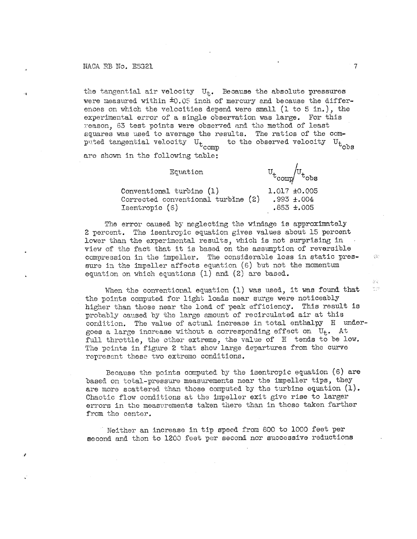NACA RB No. E5G21

the tangential air velocity  $U_{+}$ . Because the absolute pressures were measured within  $\pm 0.05$  inch of mercury and because the differences on which the velocities depend were small (1 to 5 in.), the experimental error of a single observation was large. For this reason, 63 test points were observed and the method of least squares was used to average the results. The ratios of the computed tangential velocity  $U_t$ <sub>comp</sub> to the observed velocity U<sub>tobs</sub>

are shown in the following table:

Equation

 $v_{t_{\rm comp}}/v_{t_{\rm obs}}$ 

 $\overline{7}$ 

综合

ăŃ.

 $\frac{\partial \mathcal{F}(\mathcal{G})}{\partial \mathcal{F}(\mathcal{G})}$ 

Conventional turbine (1) 1.017 ±0.005 Corrected conventional turbine (2) .993  $\pm .004$ Isentropic (6)  $.853 \pm .005$ 

The error caused by neglecting the windage is approximately 2 percent. The isentropic equation gives values about 15 percent lower than the experimental results, which is not surprising in view of the fact that it is based on the assumption of reversible compression in the impeller. The considerable loss in static pressure in the impeller affects equation  $(6)$  but not the momentum equation on which equations  $(1)$  and  $(2)$  are based.

When the conventional equation (1) was used, it was found that the points computed for light loads near surge were noticeably higher than those near the load of peak efficiency. This result is probably caused by the large amount of recirculated air at this condition. The value of actual increase in total enthalpy H undergoes a large increase without a corresponding effect on  $U_t$ . At full throttle, the other extreme, the value of H tends to be low. The points in figure 2 that show large departures from the curve represent these two extreme conditions.

Because the points computed by the isentropic equation (6) are based on total-pressure measurements near the impeller tips, they are more scattered than those computed by the turbine equation  $(1)$ . Chaotic flow conditions at the impeller exit give rise to larger errors in the measurements taken there than in those taken farther from the center.

Neither an increase in tip speed from 800 to 1000 feet per second and then to 1200 feet per second nor successive reductions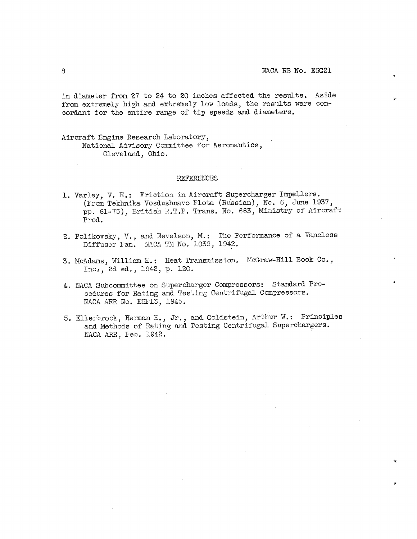in diameter from 27 to 24 to 20 inches affected the results. Aside from extremely high and extremely low loads, the results were concordant for the entire range of tip speeds and diameters.

Aircraft Engine Research Laboratory, National Advisory Committee for Aeronautics, Cleveland, Ohio.

#### REFERENCES

- 1. Varley, V. E.: Friction in Aircraft Supercharger Impellers. (From Tekhnika Vosdushnavo Flota (Russian), No. 6, June 1937, pp. 61-75), British R.T.P. Trans. No. 663, Ministry of Aircraft Prod.
- 2. Polikovsky, V., and Nevelson, M.: The Performance of a Vaneless Diffuser Fan. NACA TM No. 1038, 1942.
- 3. McAdams, William H.: Heat Transmission. McGraw-Hill Book Co., Inc., 2d ed., 1942, p. 120.
- 4. NACA Subcommittee on Supercharger Compressors: Standard Procedures for Rating and Testing Centrifugal Compressors. NACA ARR No. E5F13, 1945.
- 5. Ellerbrock, Herman H., Jr., and Goldstein, Arthur W.: Principles and Methods of Rating and Testing Centrifugal Superchargers. NACA ARR, Feb. 1942.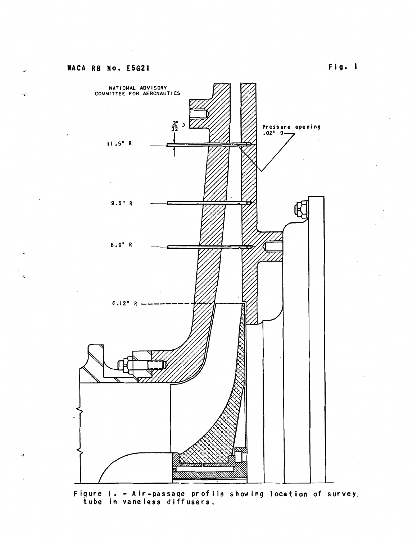

**Figure I.** - **A ir-passage profile showing locat ion of survey. tube in vane less d iff users,**